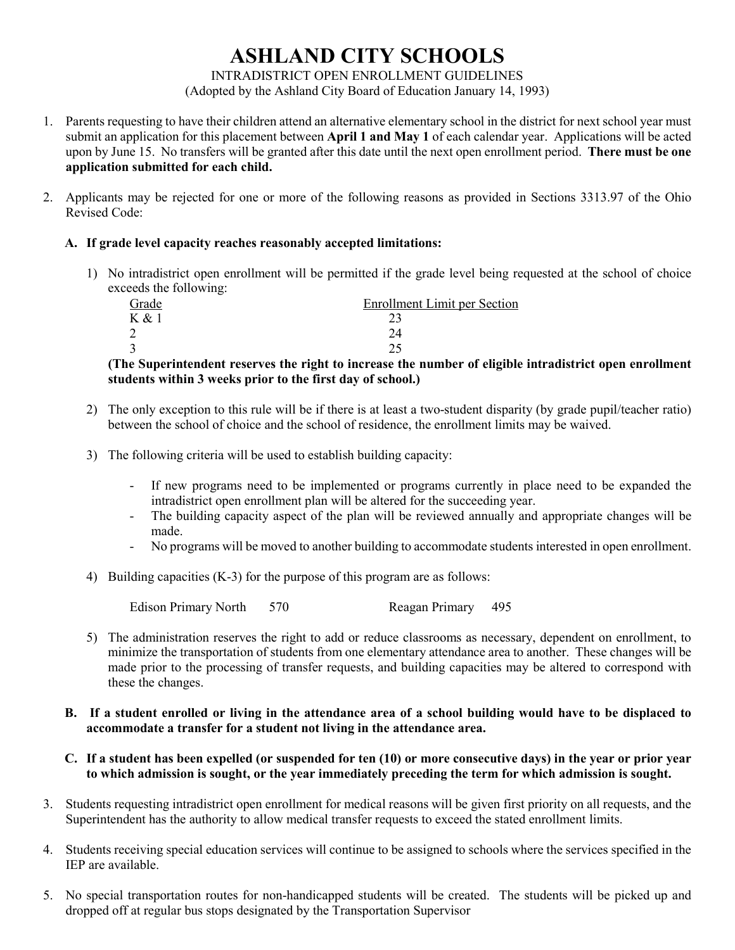## **ASHLAND CITY SCHOOLS**

INTRADISTRICT OPEN ENROLLMENT GUIDELINES

(Adopted by the Ashland City Board of Education January 14, 1993)

- 1. Parents requesting to have their children attend an alternative elementary school in the district for next school year must submit an application for this placement between **April 1 and May 1** of each calendar year. Applications will be acted upon by June 15. No transfers will be granted after this date until the next open enrollment period. **There must be one application submitted for each child.**
- 2. Applicants may be rejected for one or more of the following reasons as provided in Sections 3313.97 of the Ohio Revised Code:

## **A. If grade level capacity reaches reasonably accepted limitations:**

1) No intradistrict open enrollment will be permitted if the grade level being requested at the school of choice exceeds the following:

| -<br>Grade | <b>Enrollment Limit per Section</b> |
|------------|-------------------------------------|
| K & 1      |                                     |
|            |                                     |
|            |                                     |

**(The Superintendent reserves the right to increase the number of eligible intradistrict open enrollment students within 3 weeks prior to the first day of school.)**

- 2) The only exception to this rule will be if there is at least a two-student disparity (by grade pupil/teacher ratio) between the school of choice and the school of residence, the enrollment limits may be waived.
- 3) The following criteria will be used to establish building capacity:
	- If new programs need to be implemented or programs currently in place need to be expanded the intradistrict open enrollment plan will be altered for the succeeding year.
	- The building capacity aspect of the plan will be reviewed annually and appropriate changes will be made.
	- No programs will be moved to another building to accommodate students interested in open enrollment.
- 4) Building capacities (K-3) for the purpose of this program are as follows:

Edison Primary North 570 Reagan Primary 495

- 5) The administration reserves the right to add or reduce classrooms as necessary, dependent on enrollment, to minimize the transportation of students from one elementary attendance area to another. These changes will be made prior to the processing of transfer requests, and building capacities may be altered to correspond with these the changes.
- **B. If a student enrolled or living in the attendance area of a school building would have to be displaced to accommodate a transfer for a student not living in the attendance area.**
- **C. If a student has been expelled (or suspended for ten (10) or more consecutive days) in the year or prior year to which admission is sought, or the year immediately preceding the term for which admission is sought.**
- 3. Students requesting intradistrict open enrollment for medical reasons will be given first priority on all requests, and the Superintendent has the authority to allow medical transfer requests to exceed the stated enrollment limits.
- 4. Students receiving special education services will continue to be assigned to schools where the services specified in the IEP are available.
- 5. No special transportation routes for non-handicapped students will be created. The students will be picked up and dropped off at regular bus stops designated by the Transportation Supervisor